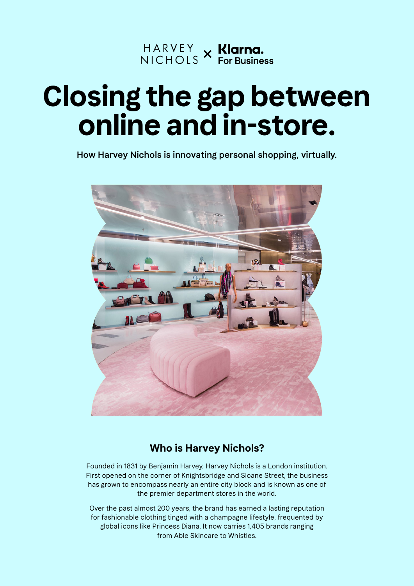

# **Closing the gap between online and in-store.**

How Harvey Nichols is innovating personal shopping, virtually.



#### **Who is Harvey Nichols?**

Founded in 1831 by Benjamin Harvey, Harvey Nichols is a London institution. First opened on the corner of Knightsbridge and Sloane Street, the business has grown to encompass nearly an entire city block and is known as one of the premier department stores in the world.

Over the past almost 200 years, the brand has earned a lasting reputation for fashionable clothing tinged with a champagne lifestyle, frequented by global icons like Princess Diana. It now carries 1,405 brands ranging from Able Skincare to Whistles.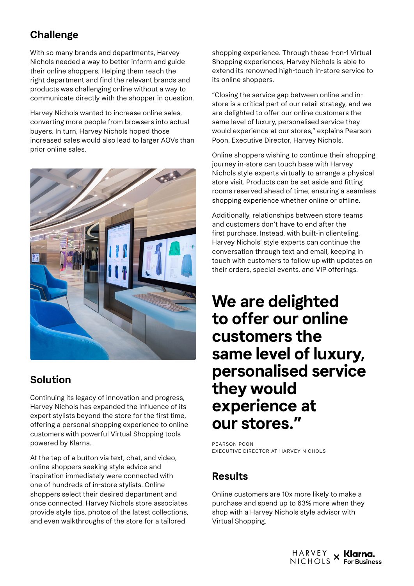## **Challenge**

With so many brands and departments, Harvey Nichols needed a way to better inform and guide their online shoppers. Helping them reach the right department and find the relevant brands and products was challenging online without a way to communicate directly with the shopper in question.

Harvey Nichols wanted to increase online sales, converting more people from browsers into actual buyers. In turn, Harvey Nichols hoped those increased sales would also lead to larger AOVs than prior online sales.



## **Solution**

Continuing its legacy of innovation and progress, Harvey Nichols has expanded the influence of its expert stylists beyond the store for the first time, offering a personal shopping experience to online customers with powerful Virtual Shopping tools powered by Klarna.

At the tap of a button via text, chat, and video, online shoppers seeking style advice and inspiration immediately were connected with one of hundreds of in-store stylists. Online shoppers select their desired department and once connected, Harvey Nichols store associates provide style tips, photos of the latest collections, and even walkthroughs of the store for a tailored

shopping experience. Through these 1-on-1 Virtual Shopping experiences, Harvey Nichols is able to extend its renowned high-touch in-store service to its online shoppers.

"Closing the service gap between online and instore is a critical part of our retail strategy, and we are delighted to offer our online customers the same level of luxury, personalised service they would experience at our stores," explains Pearson Poon, Executive Director, Harvey Nichols.

Online shoppers wishing to continue their shopping journey in-store can touch base with Harvey Nichols style experts virtually to arrange a physical store visit. Products can be set aside and fitting rooms reserved ahead of time, ensuring a seamless shopping experience whether online or offline.

Additionally, relationships between store teams and customers don't have to end after the first purchase. Instead, with built-in clienteling, Harvey Nichols' style experts can continue the conversation through text and email, keeping in touch with customers to follow up with updates on their orders, special events, and VIP offerings.

# **We are delighted to offer our online customers the same level of luxury, personalised service they would experience at our stores."**

PEARSON POON EXECUTIVE DIRECTOR AT HARVEY NICHOLS

#### **Results**

Online customers are 10x more likely to make a purchase and spend up to 63% more when they shop with a Harvey Nichols style advisor with Virtual Shopping.